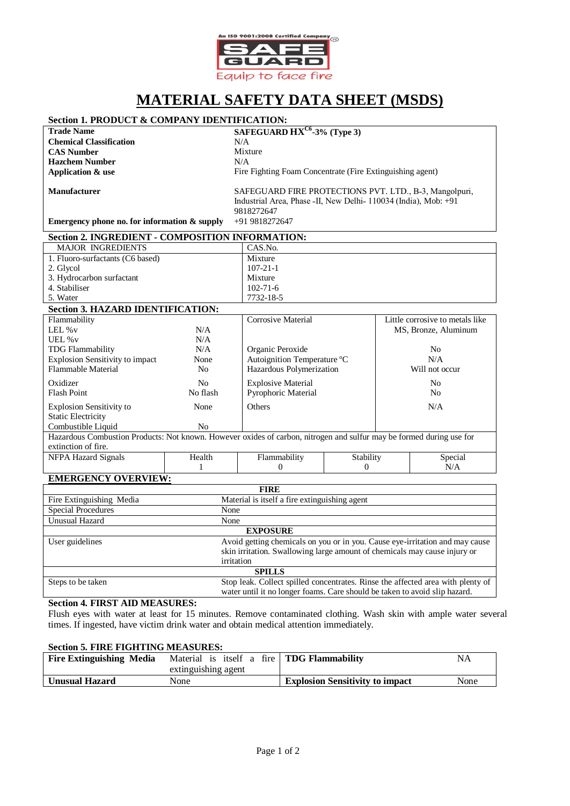

# **MATERIAL SAFETY DATA SHEET (MSDS)**

## **Section 1. PRODUCT & COMPANY IDENTIFICATION:**

**Chemical Classification** N/A **CAS Number** Mixture<br> **Hazchem Number** N/A **Hazchem Number Application & use**

**Trade Name SAFEGUARD HXC6 -3% (Type 3)** Fire Fighting Foam Concentrate (Fire Extinguishing agent)

**Manufacturer**

SAFEGUARD FIRE PROTECTIONS PVT. LTD., B-3, Mangolpuri, Industrial Area, Phase -II, New Delhi- 110034 (India), Mob: +91 9818272647

0

**Emergency phone no. for information & supply** +91 9818272647

#### **Section 2. INGREDIENT - COMPOSITION INFORMATION:** MAJOR INGREDIENTS CAS.No. 1. Fluoro-surfactants (C6 based) Mixture

| 2. Glycol                                |                | $107 - 21 - 1$              |                                 |
|------------------------------------------|----------------|-----------------------------|---------------------------------|
| 3. Hydrocarbon surfactant                |                | Mixture                     |                                 |
| 4. Stabiliser                            |                | $102 - 71 - 6$              |                                 |
| 5. Water                                 |                | 7732-18-5                   |                                 |
| <b>Section 3. HAZARD IDENTIFICATION:</b> |                |                             |                                 |
| Flammability                             |                | Corrosive Material          | Little corrosive to metals like |
| LEL $\%$ v                               | N/A            |                             | MS, Bronze, Aluminum            |
| UEL % v                                  | N/A            |                             |                                 |
| <b>TDG Flammability</b>                  | N/A            | Organic Peroxide            | No                              |
| <b>Explosion Sensitivity to impact</b>   | None           | Autoignition Temperature °C | N/A                             |
| <b>Flammable Material</b>                | N <sub>0</sub> | Hazardous Polymerization    | Will not occur                  |
| Oxidizer                                 | No.            | <b>Explosive Material</b>   | N <sub>0</sub>                  |
| <b>Flash Point</b>                       | No flash       | <b>Pyrophoric Material</b>  | No                              |
| <b>Explosion Sensitivity to</b>          | None           | Others                      | N/A                             |

Static Electricity Combustible Liquid No Hazardous Combustion Products: Not known. However oxides of carbon, nitrogen and sulfur may be formed during use for extinction of fire. NFPA Hazard Signals Health Flammability **Stability** Special N/A

0

1

## **EMERGENCY OVERVIEW:**

| <b>FIRE</b>               |                                                                                                                                                                         |  |
|---------------------------|-------------------------------------------------------------------------------------------------------------------------------------------------------------------------|--|
| Fire Extinguishing Media  | Material is itself a fire extinguishing agent                                                                                                                           |  |
| <b>Special Procedures</b> | None                                                                                                                                                                    |  |
| Unusual Hazard            | None                                                                                                                                                                    |  |
| <b>EXPOSURE</b>           |                                                                                                                                                                         |  |
| User guidelines           | Avoid getting chemicals on you or in you. Cause eye-irritation and may cause<br>skin irritation. Swallowing large amount of chemicals may cause injury or<br>irritation |  |
| <b>SPILLS</b>             |                                                                                                                                                                         |  |
| Steps to be taken         | Stop leak. Collect spilled concentrates. Rinse the affected area with plenty of<br>water until it no longer foams. Care should be taken to avoid slip hazard.           |  |

## **Section 4. FIRST AID MEASURES:**

Flush eyes with water at least for 15 minutes. Remove contaminated clothing. Wash skin with ample water several times. If ingested, have victim drink water and obtain medical attention immediately.

### **Section 5. FIRE FIGHTING MEASURES:**

| <b>Fire Extinguishing Media</b> | Material is itself a fire TDG Flammability |                                        | <b>NA</b> |
|---------------------------------|--------------------------------------------|----------------------------------------|-----------|
|                                 | extinguishing agent                        |                                        |           |
| <b>Unusual Hazard</b>           | None                                       | <b>Explosion Sensitivity to impact</b> | None      |